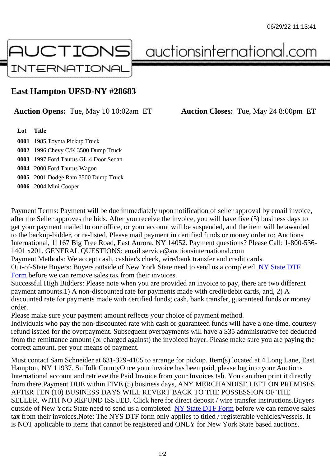## East Hampton UFSD-NY #28683

## Auction Opens: Tue, May 10 10:02am ET Auction Closes: Tue, May 24 8:00pm ET

Lot Title

0001 1985 Toyota Pickup Truck

0002 1996 Chevy C/K 3500 Dump Truck

0003 1997 Ford Taurus GL 4 Door Sedan

0004 2000 Ford Taurus Wagon

0005 2001 Dodge Ram 3500 Dump Truck

0006 2004 Mini Cooper

Payment Terms: Payment will be due immediately upon notification of seller approval by email invoice, after the Seller approves the bids. After you receive the invoice, you will have five (5) business days to get your payment mailed to our office, or your account will be suspended, and the item will be awarded to the backup-bidder, or re-listed. Please mail payment in certified funds or money order to: Auctions International, 11167 Big Tree Road, East Aurora, NY 14052. Payment questions? Please Call: 1-800-53 1401 x201. GENERAL QUESTIONS: email service@auctionsinternational.com

Payment Methods: We accept cash, cashier's check, wire/bank transfer and credit cards.

Out-of-State Buyers: Buyers outside of New York State need to send us a complered NTF Form before we can remove sales tax from their invoices.

Successful High Bidders: Please note when you are provided an invoice to pay, there are two different payment amounts.1) A non-discounted rate for payments made with credit/de[bit cards, and](https://www.auctionsinternational.com/auxiliary/downloads/DTF_Form/dtf_fill_in.pdf), 2) A [disco](https://www.auctionsinternational.com/auxiliary/downloads/DTF_Form/dtf_fill_in.pdf)unted rate for payments made with certified funds; cash, bank transfer, guaranteed funds or mone order.

Please make sure your payment amount reflects your choice of payment method.

Individuals who pay the non-discounted rate with cash or guaranteed funds will have a one-time, courte refund issued for the overpayment. Subsequent overpayments will have a \$35 administrative fee deduc from the remittance amount (or charged against) the invoiced buyer. Please make sure you are paying correct amount, per your means of payment.

Must contact Sam Schneider at 631-329-4105 to arrange for pickup. Item(s) located at 4 Long Lane, Ea Hampton, NY 11937. Suffolk CountyOnce your invoice has been paid, please log into your Auctions International account and retrieve the Paid Invoice from your Invoices tab. You can then print it directly from there.Payment DUE within FIVE (5) business days, ANY MERCHANDISE LEFT ON PREMISES AFTER TEN (10) BUSINESS DAYS WILL REVERT BACK TO THE POSSESSION OF THE SELLER, WITH NO REFUND ISSUED. Click here for direct deposit / wire transfer instructions.Buyers outside of New York State need to send us a complete **State DTF Form before we can remove sales** tax from their invoices.Note: The NYS DTF form only applies to titled / registerable vehicles/vessels. It is NOT applicable to items that cannot be registered and ONLY for New York State based auctions.